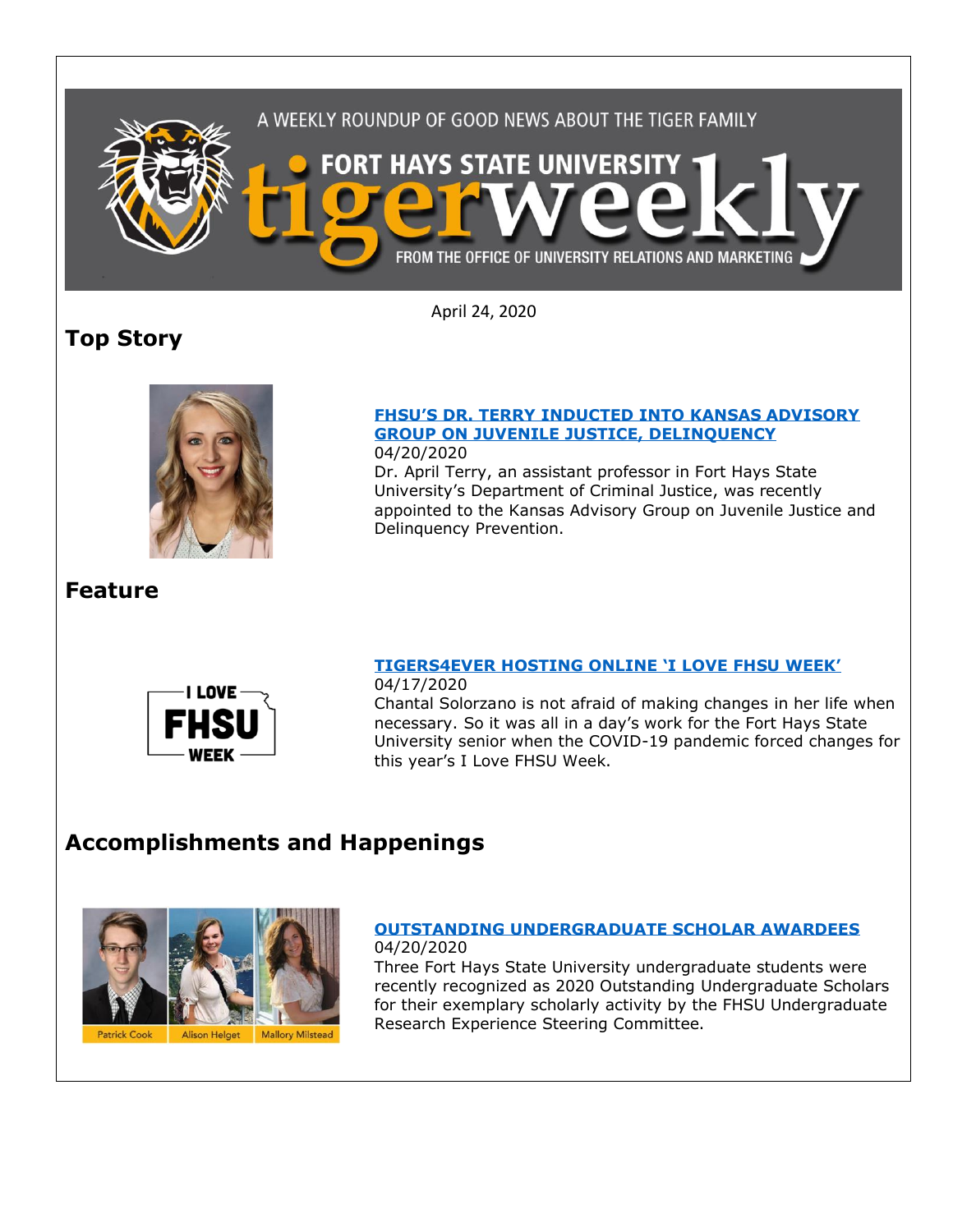

April 24, 2020

# **Top Story**



#### **[FHSU'S DR. TERRY INDUCTED INTO KANSAS ADVISORY](https://www.fhsu.edu/news/2020/04/fhsus-dr.-terry-inducted-into-kansas-advisory-group-on-juvenile-justice,-delinquency)  [GROUP ON JUVENILE JUSTICE, DELINQUENCY](https://www.fhsu.edu/news/2020/04/fhsus-dr.-terry-inducted-into-kansas-advisory-group-on-juvenile-justice,-delinquency)** 04/20/2020

Dr. April Terry, an assistant professor in Fort Hays State University's Department of Criminal Justice, was recently appointed to the Kansas Advisory Group on Juvenile Justice and Delinquency Prevention.

# **Feature**



### **[TIGERS4EVER HOSTING ONLINE 'I LOVE FHSU WEEK'](https://www.fhsu.edu/news/2020/04/tigers4ever-hosting-online-i-love-fhsu-week)** 04/17/2020

Chantal Solorzano is not afraid of making changes in her life when necessary. So it was all in a day's work for the Fort Hays State University senior when the COVID-19 pandemic forced changes for this year's I Love FHSU Week.

# **Accomplishments and Happenings**



### **[OUTSTANDING UNDERGRADUATE SCHOLAR AWARDEES](https://www.fhsu.edu/news/2020/04/outstanding-undergraduate-scholar-awardees)** 04/20/2020

Three Fort Hays State University undergraduate students were recently recognized as 2020 Outstanding Undergraduate Scholars for their exemplary scholarly activity by the FHSU Undergraduate Research Experience Steering Committee.